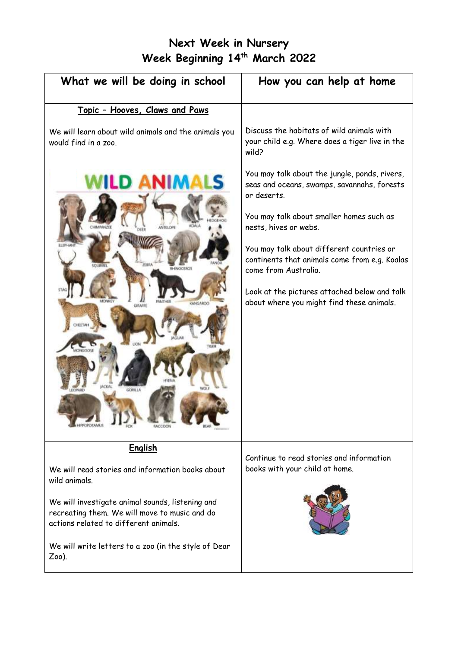# **Next Week in Nursery Week Beginning 14 th March 2022**

| What we will be doing in school                                                                                                            | How you can help at home                                                                                           |
|--------------------------------------------------------------------------------------------------------------------------------------------|--------------------------------------------------------------------------------------------------------------------|
| Topic - Hooves, Claws and Paws                                                                                                             |                                                                                                                    |
| We will learn about wild animals and the animals you<br>would find in a zoo.                                                               | Discuss the habitats of wild animals with<br>your child e.g. Where does a tiger live in the<br>wild?               |
| D ANIMALS                                                                                                                                  | You may talk about the jungle, ponds, rivers,<br>seas and oceans, swamps, savannahs, forests<br>or deserts.        |
|                                                                                                                                            | You may talk about smaller homes such as<br>nests, hives or webs.                                                  |
| rran<br><b>SCILRAGE</b>                                                                                                                    | You may talk about different countries or<br>continents that animals come from e.g. Koalas<br>come from Australia. |
| KANGAROO<br>GIRAFFI                                                                                                                        | Look at the pictures attached below and talk<br>about where you might find these animals.                          |
|                                                                                                                                            |                                                                                                                    |
|                                                                                                                                            |                                                                                                                    |
| <b>English</b>                                                                                                                             | Continue to read stories and information                                                                           |
| We will read stories and information books about<br>wild animals.                                                                          | books with your child at home.                                                                                     |
| We will investigate animal sounds, listening and<br>recreating them. We will move to music and do<br>actions related to different animals. |                                                                                                                    |
| We will write letters to a zoo (in the style of Dear<br>$Zoo$ ).                                                                           |                                                                                                                    |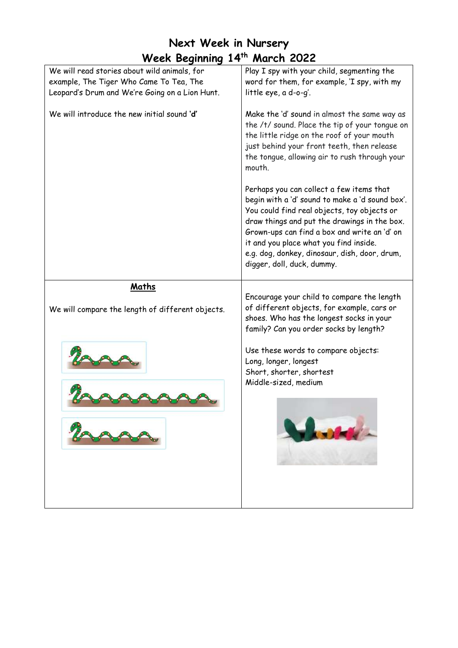| Week Beginning 14th March 2022                                                                                                            |                                                                                                                                                                                                                                                                                                                                                                     |
|-------------------------------------------------------------------------------------------------------------------------------------------|---------------------------------------------------------------------------------------------------------------------------------------------------------------------------------------------------------------------------------------------------------------------------------------------------------------------------------------------------------------------|
| We will read stories about wild animals, for<br>example, The Tiger Who Came To Tea, The<br>Leopard's Drum and We're Going on a Lion Hunt. | Play I spy with your child, segmenting the<br>word for them, for example, 'I spy, with my<br>little eye, a d-o-g'.                                                                                                                                                                                                                                                  |
| We will introduce the new initial sound 'd'                                                                                               | Make the 'd' sound in almost the same way as<br>the /t/ sound. Place the tip of your tongue on<br>the little ridge on the roof of your mouth<br>just behind your front teeth, then release<br>the tongue, allowing air to rush through your<br>mouth.                                                                                                               |
|                                                                                                                                           | Perhaps you can collect a few items that<br>begin with a 'd' sound to make a 'd sound box'.<br>You could find real objects, toy objects or<br>draw things and put the drawings in the box.<br>Grown-ups can find a box and write an 'd' on<br>it and you place what you find inside.<br>e.g. dog, donkey, dinosaur, dish, door, drum,<br>digger, doll, duck, dummy. |
| Maths<br>We will compare the length of different objects.                                                                                 | Encourage your child to compare the length<br>of different objects, for example, cars or<br>shoes. Who has the longest socks in your<br>family? Can you order socks by length?                                                                                                                                                                                      |
|                                                                                                                                           | Use these words to compare objects:<br>Long, longer, longest<br>Short, shorter, shortest<br>Middle-sized, medium<br><b>School of the Second Second</b>                                                                                                                                                                                                              |

**Next Week in Nursery**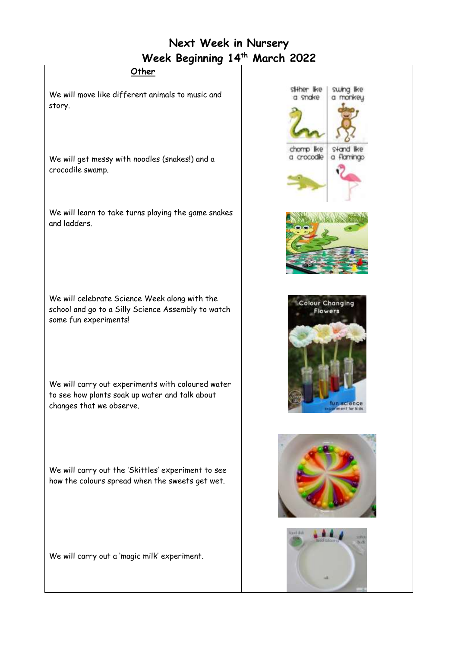## **Next Week in Nursery Week Beginning 14 th March 2022**

#### **Other**

We will move like different animals to music and story.

We will get messy with noodles (snakes!) and a crocodile swamp.

We will learn to take turns playing the game snakes and ladders.

We will celebrate Science Week along with the school and go to a Silly Science Assembly to watch some fun experiments!

We will carry out experiments with coloured water to see how plants soak up water and talk about changes that we observe.

We will carry out the 'Skittles' experiment to see how the colours spread when the sweets get wet.

We will carry out a 'magic milk' experiment.